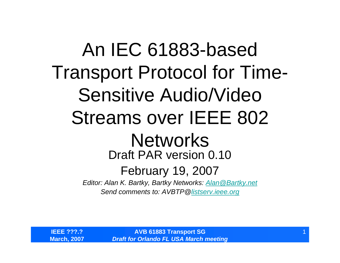An IEC 61883-based Transport Protocol for Time-Sensitive Audio/Video Streams over IEEE 802 **Networks** Draft PAR version 0.10February 19, 2007 *Editor: Alan K. Bartky, Bartky Networks: Alan@Bartky.net Send comments to: AVBTP@listserv.ieee.org*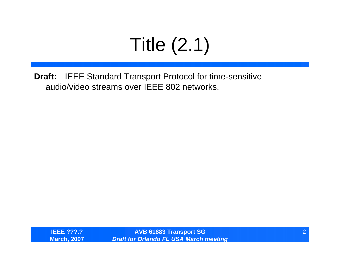# Title (2.1)

**Draft:** IEEE Standard Transport Protocol for time-sensitive audio/video streams over IEEE 802 networks.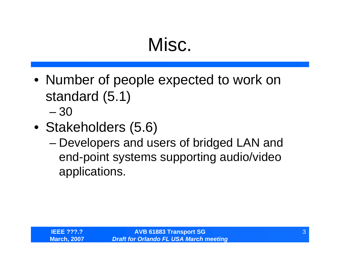#### Misc.

- Number of people expected to work on standard (5.1) – 30
- Stakeholders (5.6)
	- – Developers and users of bridged LAN and end-point systems supporting audio/video applications.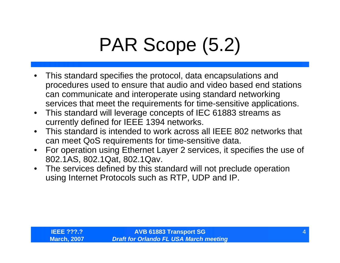# PAR Scope (5.2)

- • This standard specifies the protocol, data encapsulations and procedures used to ensure that audio and video based end stations can communicate and interoperate using standard networking services that meet the requirements for time-sensitive applications.
- $\bullet$  This standard will leverage concepts of IEC 61883 streams as currently defined for IEEE 1394 networks.
- $\bullet$  This standard is intended to work across all IEEE 802 networks that can meet QoS requirements for time-sensitive data.
- $\bullet$  For operation using Ethernet Layer 2 services, it specifies the use of 802.1AS, 802.1Qat, 802.1Qav.
- $\bullet$  The services defined by this standard will not preclude operation using Internet Protocols such as RTP, UDP and IP.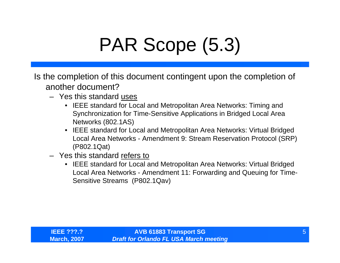## PAR Scope (5.3)

Is the completion of this document contingent upon the completion of another document?

- Yes this standard uses
	- IEEE standard for Local and Metropolitan Area Networks: Timing and Synchronization for Time-Sensitive Applications in Bridged Local Area Networks (802.1AS)
	- IEEE standard for Local and Metropolitan Area Networks: Virtual Bridged Local Area Networks - Amendment 9: Stream Reservation Protocol (SRP) (P802.1Qat)
- Yes this standard refers to
	- IEEE standard for Local and Metropolitan Area Networks: Virtual Bridged Local Area Networks - Amendment 11: Forwarding and Queuing for Time-Sensitive Streams (P802.1Qav)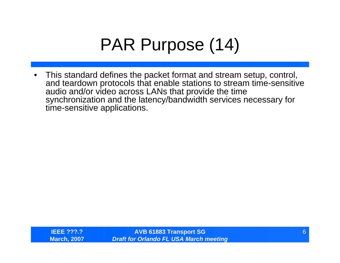#### PAR Purpose (14)

 $\bullet$  This standard defines the packet format and stream setup, control, and teardown protocols that enable stations to stream time-sensitive audio and/or video across LANs that provide the time synchronization and the latency/bandwidth services necessary for time-sensitive applications.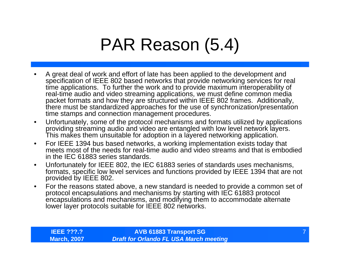#### PAR Reason (5.4)

- • A great deal of work and effort of late has been applied to the development and specification of IEEE 802 based networks that provide networking services for real time applications. To further the work and to provide maximum interoperability of real-time audio and video streaming applications, we must define common media packet formats and how they are structured within IEEE 802 frames. Additionally, there must be standardized approaches for the use of synchronization/presentation time stamps and connection management procedures.
- $\bullet$  Unfortunately, some of the protocol mechanisms and formats utilized by applications providing streaming audio and video are entangled with low level network layers. This makes them unsuitable for adoption in a layered networking application.
- $\bullet$  For IEEE 1394 bus based networks, a working implementation exists today that meets most of the needs for real-time audio and video streams and that is embodied in the IEC 61883 series standards.
- $\bullet$  Unfortunately for IEEE 802, the IEC 61883 series of standards uses mechanisms, formats, specific low level services and functions provided by IEEE 1394 that are not provided by IEEE 802.
- $\bullet$  For the reasons stated above, a new standard is needed to provide a common set of protocol encapsulations and mechanisms by starting with IEC 61883 protocol encapsulations and mechanisms, and modifying them to accommodate alternate lower layer protocols suitable for IEEE 802 networks.